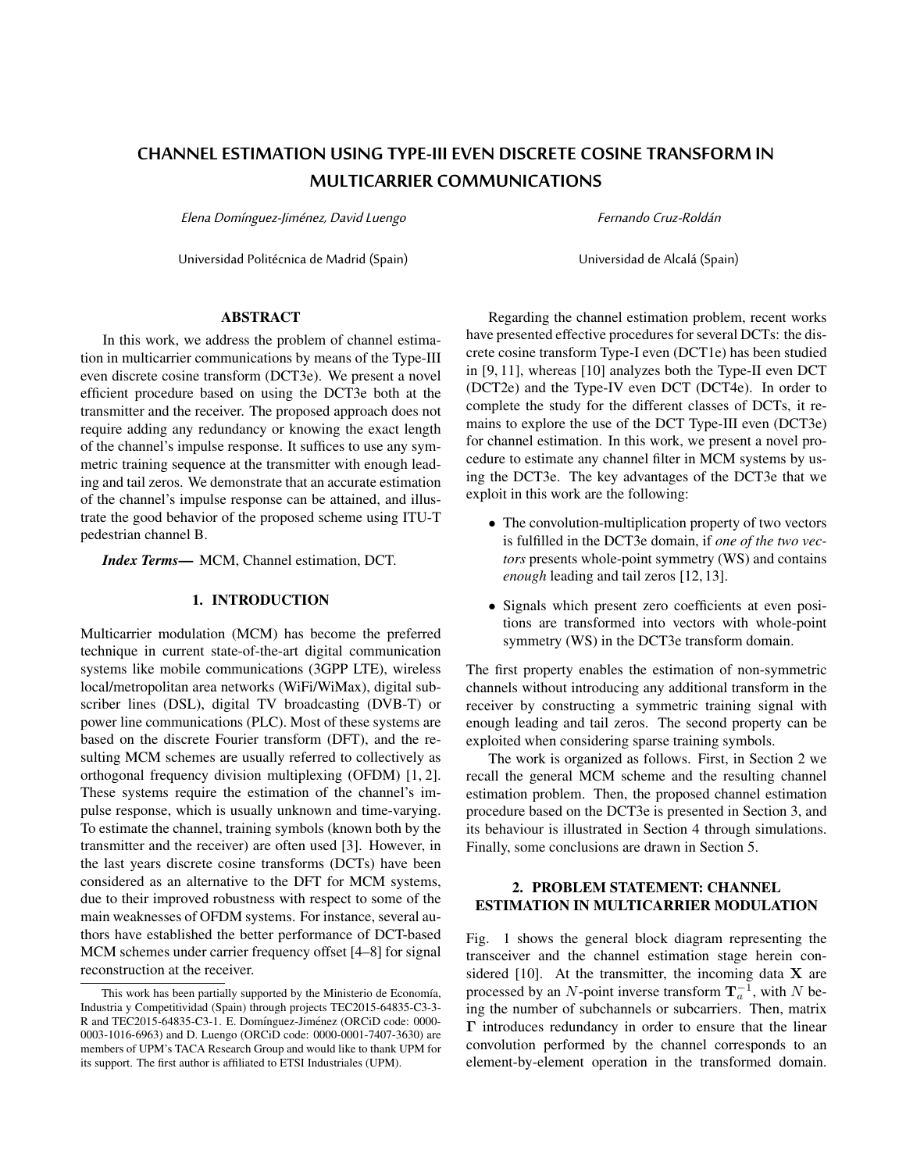# **CHANNEL ESTIMATION USING TYPE-III EVEN DISCRETE COSINE TRANSFORM IN MULTICARRIER COMMUNICATIONS**

Elena Domínguez-Jiménez, David Luengo

Universidad Politécnica de Madrid (Spain)

Fernando Cruz-Roldán

Universidad de Alcalá (Spain)

# ABSTRACT

In this work, we address the problem of channel estimation in multicarrier communications by means of the Type-III even discrete cosine transform (DCT3e). We present a novel efficient procedure based on using the DCT3e both at the transmitter and the receiver. The proposed approach does not require adding any redundancy or knowing the exact length of the channel's impulse response. It suffices to use any symmetric training sequence at the transmitter with enough leading and tail zeros. We demonstrate that an accurate estimation of the channel's impulse response can be attained, and illustrate the good behavior of the proposed scheme using ITU-T pedestrian channel B.

*Index Terms*— MCM, Channel estimation, DCT.

### 1. INTRODUCTION

Multicarrier modulation (MCM) has become the preferred technique in current state-of-the-art digital communication systems like mobile communications (3GPP LTE), wireless local/metropolitan area networks (WiFi/WiMax), digital subscriber lines (DSL), digital TV broadcasting (DVB-T) or power line communications (PLC). Most of these systems are based on the discrete Fourier transform (DFT), and the resulting MCM schemes are usually referred to collectively as orthogonal frequency division multiplexing (OFDM) [1, 2]. These systems require the estimation of the channel's impulse response, which is usually unknown and time-varying. To estimate the channel, training symbols (known both by the transmitter and the receiver) are often used [3]. However, in the last years discrete cosine transforms (DCTs) have been considered as an alternative to the DFT for MCM systems, due to their improved robustness with respect to some of the main weaknesses of OFDM systems. For instance, several authors have established the better performance of DCT-based MCM schemes under carrier frequency offset [4–8] for signal reconstruction at the receiver.

Regarding the channel estimation problem, recent works have presented effective procedures for several DCTs: the discrete cosine transform Type-I even (DCT1e) has been studied in [9, 11], whereas [10] analyzes both the Type-II even DCT (DCT2e) and the Type-IV even DCT (DCT4e). In order to complete the study for the different classes of DCTs, it remains to explore the use of the DCT Type-III even (DCT3e) for channel estimation. In this work, we present a novel procedure to estimate any channel filter in MCM systems by using the DCT3e. The key advantages of the DCT3e that we exploit in this work are the following:

- The convolution-multiplication property of two vectors is fulfilled in the DCT3e domain, if *one of the two vectors* presents whole-point symmetry (WS) and contains *enough* leading and tail zeros [12, 13].
- Signals which present zero coefficients at even positions are transformed into vectors with whole-point symmetry (WS) in the DCT3e transform domain.

The first property enables the estimation of non-symmetric channels without introducing any additional transform in the receiver by constructing a symmetric training signal with enough leading and tail zeros. The second property can be exploited when considering sparse training symbols.

The work is organized as follows. First, in Section 2 we recall the general MCM scheme and the resulting channel estimation problem. Then, the proposed channel estimation procedure based on the DCT3e is presented in Section 3, and its behaviour is illustrated in Section 4 through simulations. Finally, some conclusions are drawn in Section 5.

# 2. PROBLEM STATEMENT: CHANNEL ESTIMATION IN MULTICARRIER MODULATION

Fig. 1 shows the general block diagram representing the transceiver and the channel estimation stage herein considered  $[10]$ . At the transmitter, the incoming data X are processed by an N-point inverse transform  $\mathbf{T}_a^{-1}$ , with N being the number of subchannels or subcarriers. Then, matrix Γ introduces redundancy in order to ensure that the linear convolution performed by the channel corresponds to an element-by-element operation in the transformed domain.

This work has been partially supported by the Ministerio de Economía, Industria y Competitividad (Spain) through projects TEC2015-64835-C3-3- R and TEC2015-64835-C3-1. E. Domínguez-Jiménez (ORCiD code: 0000-0003-1016-6963) and D. Luengo (ORCiD code: 0000-0001-7407-3630) are members of UPM's TACA Research Group and would like to thank UPM for its support. The first author is affiliated to ETSI Industriales (UPM).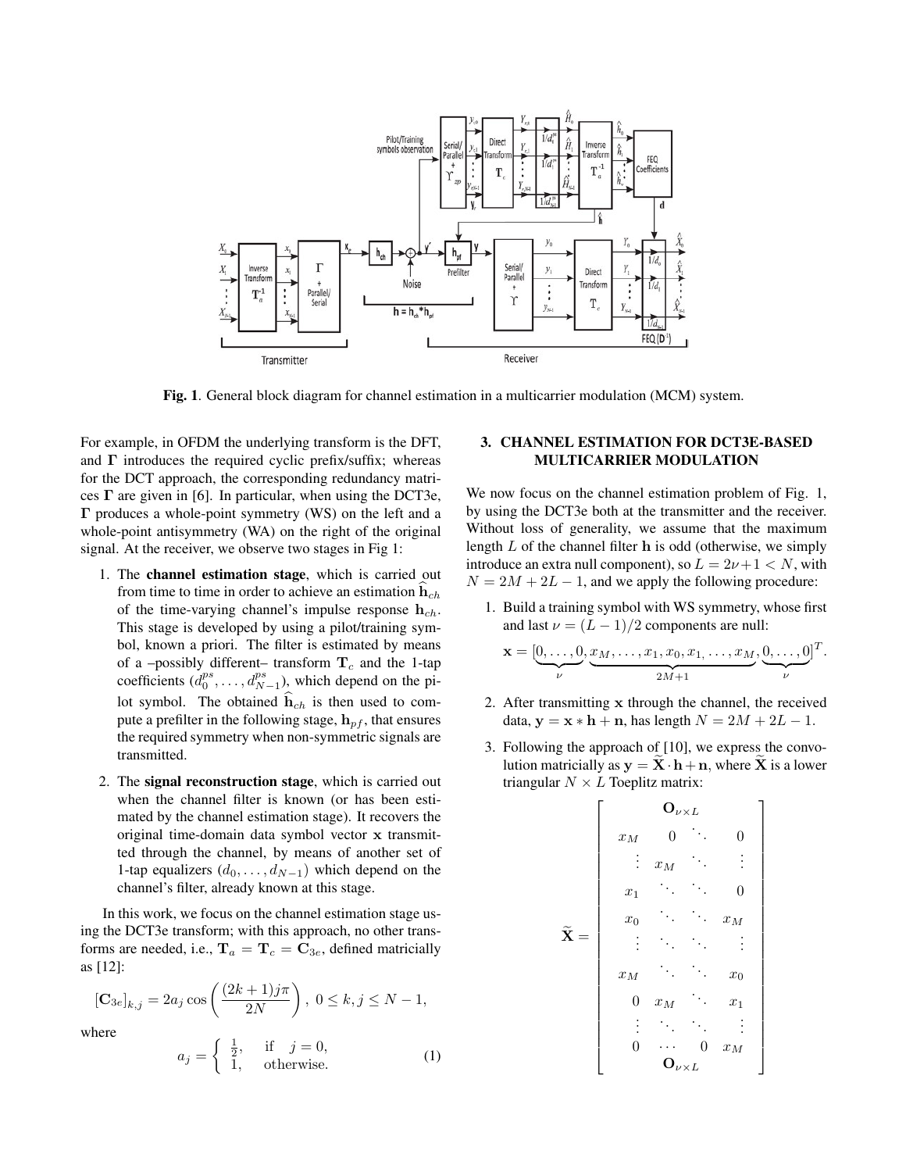

Fig. 1. General block diagram for channel estimation in a multicarrier modulation (MCM) system.

For example, in OFDM the underlying transform is the DFT, and  $\Gamma$  introduces the required cyclic prefix/suffix; whereas for the DCT approach, the corresponding redundancy matrices  $\Gamma$  are given in [6]. In particular, when using the DCT3e, Γ produces a whole-point symmetry (WS) on the left and a whole-point antisymmetry (WA) on the right of the original signal. At the receiver, we observe two stages in Fig 1:

- 1. The channel estimation stage, which is carried out from time to time in order to achieve an estimation  $h_{ch}$ of the time-varying channel's impulse response  $h_{ch}$ . This stage is developed by using a pilot/training symbol, known a priori. The filter is estimated by means of a -possibly different- transform  $T_c$  and the 1-tap coefficients  $(d_0^{ps}, \ldots, d_{N-1}^{ps})$ , which depend on the pilot symbol. The obtained  $h_{ch}$  is then used to compute a prefilter in the following stage,  $h_{pf}$ , that ensures the required symmetry when non-symmetric signals are transmitted.
- 2. The signal reconstruction stage, which is carried out when the channel filter is known (or has been estimated by the channel estimation stage). It recovers the original time-domain data symbol vector x transmitted through the channel, by means of another set of 1-tap equalizers  $(d_0, \ldots, d_{N-1})$  which depend on the channel's filter, already known at this stage.

In this work, we focus on the channel estimation stage using the DCT3e transform; with this approach, no other transforms are needed, i.e.,  $T_a = T_c = C_{3e}$ , defined matricially as [12]:

$$
[\mathbf{C}_{3e}]_{k,j} = 2a_j \cos\left(\frac{(2k+1)j\pi}{2N}\right), \ 0 \le k, j \le N-1,
$$

where

$$
a_j = \begin{cases} \frac{1}{2}, & \text{if } j = 0, \\ 1, & \text{otherwise.} \end{cases}
$$
 (1)

# 3. CHANNEL ESTIMATION FOR DCT3E-BASED MULTICARRIER MODULATION

We now focus on the channel estimation problem of Fig. 1, by using the DCT3e both at the transmitter and the receiver. Without loss of generality, we assume that the maximum length  $L$  of the channel filter  $h$  is odd (otherwise, we simply introduce an extra null component), so  $L = 2\nu + 1 < N$ , with  $N = 2M + 2L - 1$ , and we apply the following procedure:

1. Build a training symbol with WS symmetry, whose first and last  $\nu = (L - 1)/2$  components are null:

$$
\mathbf{x} = [\underbrace{0,\ldots,0}_{\nu}, \underbrace{x_M,\ldots,x_1,x_0,x_1,\ldots,x_M}_{2M+1}, \underbrace{0,\ldots,0}_{\nu}]^T.
$$

- 2. After transmitting x through the channel, the received data,  $y = x * h + n$ , has length  $N = 2M + 2L - 1$ .
- 3. Following the approach of [10], we express the convolution matricially as  $y = \mathbf{X} \cdot \mathbf{h} + \mathbf{n}$ , where  $\mathbf{X}$  is a lower triangular  $N \times L$  Toeplitz matrix:

$$
\widetilde{\mathbf{X}} = \left[\begin{array}{ccccc} & \mathbf{O}_{\nu \times L} & & \\ x_M & 0 & \cdots & 0 \\ \vdots & x_M & \ddots & \vdots \\ x_1 & \ddots & \ddots & 0 \\ x_0 & \ddots & \ddots & x_M \\ \vdots & \ddots & \ddots & \vdots \\ x_M & \ddots & \ddots & x_0 \\ 0 & x_M & \ddots & x_1 \\ \vdots & \ddots & \ddots & \vdots \\ 0 & \cdots & 0 & x_M \\ \mathbf{O}_{\nu \times L} & & & \mathbf{O}_{\nu \times L} \end{array}\right]
$$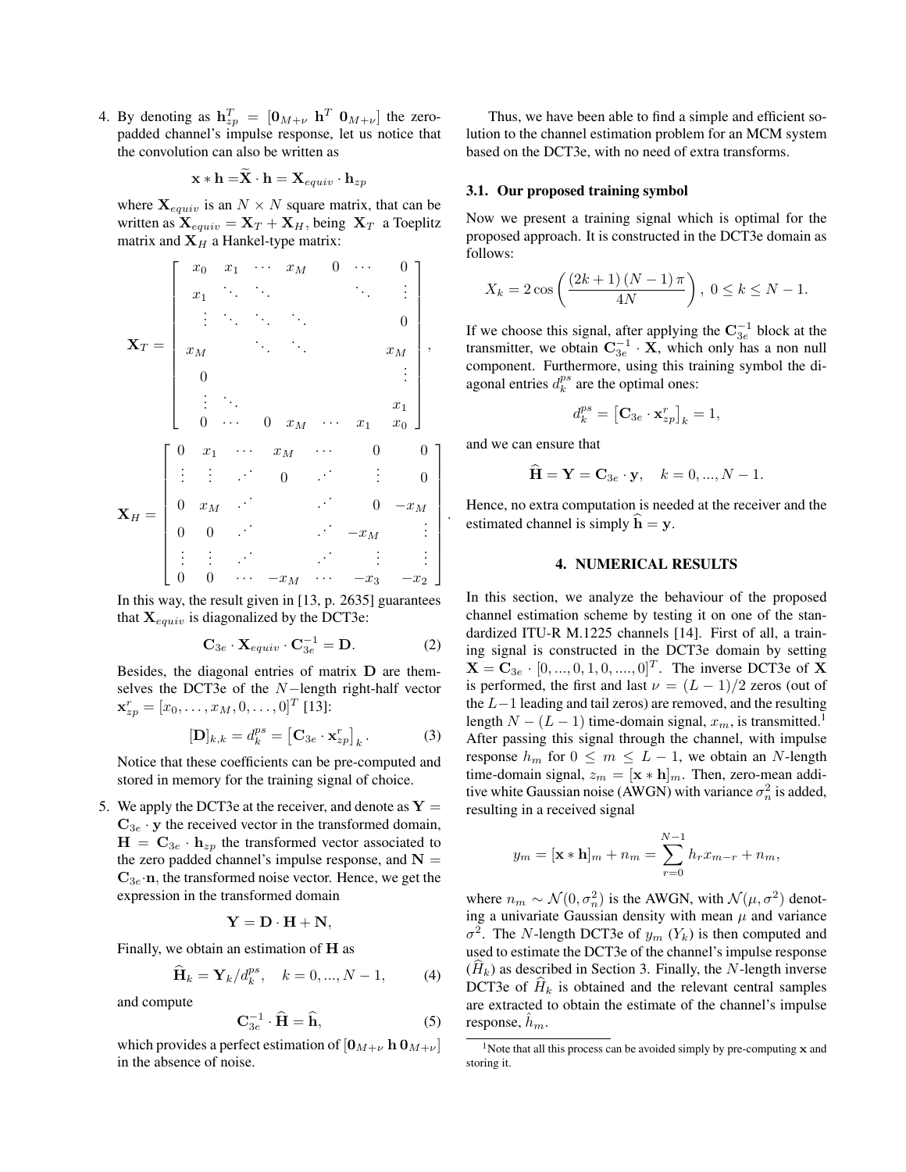4. By denoting as  $h_{zp}^T = [0_{M+\nu} \ h^T \ 0_{M+\nu}]$  the zeropadded channel's impulse response, let us notice that the convolution can also be written as

$$
\mathbf{x} * \mathbf{h} = \mathbf{X} \cdot \mathbf{h} = \mathbf{X}_{equiv} \cdot \mathbf{h}_{zp}
$$

where  $\mathbf{X}_{equiv}$  is an  $N \times N$  square matrix, that can be written as  $\mathbf{X}_{equiv} = \mathbf{X}_T + \mathbf{X}_H$ , being  $\mathbf{X}_T$  a Toeplitz matrix and  $X_H$  a Hankel-type matrix:

$$
\mathbf{X}_{T} = \begin{bmatrix} x_{0} & x_{1} & \cdots & x_{M} & 0 & \cdots & 0 \\ x_{1} & \ddots & \ddots & \ddots & \ddots & \vdots \\ \vdots & \ddots & \ddots & \ddots & x_{M} & 0 \\ x_{M} & \ddots & \ddots & x_{M} & \vdots \\ 0 & \ddots & \ddots & \ddots & x_{1} & x_{0} \end{bmatrix},
$$

$$
\mathbf{X}_{H} = \begin{bmatrix} 0 & x_{1} & \cdots & x_{M} & \cdots & 0 & 0 \\ \vdots & \vdots & \ddots & 0 & \ddots & \vdots & 0 \\ 0 & x_{M} & \ddots & 0 & \cdots & \vdots & 0 \\ 0 & 0 & \cdots & \ddots & \ddots & \vdots & \vdots \\ \vdots & \vdots & \ddots & \ddots & \ddots & \vdots & \vdots \\ 0 & 0 & \cdots & -x_{M} & \cdots & -x_{3} & -x_{2} \end{bmatrix}
$$

In this way, the result given in [13, p. 2635] guarantees that  $\mathbf{X}_{equiv}$  is diagonalized by the DCT3e:

$$
\mathbf{C}_{3e} \cdot \mathbf{X}_{equiv} \cdot \mathbf{C}_{3e}^{-1} = \mathbf{D}.
$$
 (2)

Besides, the diagonal entries of matrix D are themselves the DCT3e of the N−length right-half vector  $\mathbf{x}_{zp}^r = [x_0, \dots, x_M, 0, \dots, 0]^T$  [13]:

$$
[\mathbf{D}]_{k,k} = d_k^{ps} = [\mathbf{C}_{3e} \cdot \mathbf{x}_{zp}^r]_k. \tag{3}
$$

Notice that these coefficients can be pre-computed and stored in memory for the training signal of choice.

5. We apply the DCT3e at the receiver, and denote as  $Y =$  $\mathbf{C}_{3e} \cdot \mathbf{y}$  the received vector in the transformed domain,  $H = C_{3e} \cdot h_{zp}$  the transformed vector associated to the zero padded channel's impulse response, and  $N =$  $C_{3e}$  n, the transformed noise vector. Hence, we get the expression in the transformed domain

$$
\mathbf{Y} = \mathbf{D} \cdot \mathbf{H} + \mathbf{N},
$$

Finally, we obtain an estimation of H as

$$
\widehat{\mathbf{H}}_k = \mathbf{Y}_k / d_k^{ps}, \quad k = 0, ..., N - 1,
$$
 (4)

and compute

$$
\mathbf{C}_{3e}^{-1} \cdot \widehat{\mathbf{H}} = \widehat{\mathbf{h}},\tag{5}
$$

which provides a perfect estimation of  $[0_{M+\nu} h 0_{M+\nu}]$ in the absence of noise.

Thus, we have been able to find a simple and efficient solution to the channel estimation problem for an MCM system based on the DCT3e, with no need of extra transforms.

#### 3.1. Our proposed training symbol

Now we present a training signal which is optimal for the proposed approach. It is constructed in the DCT3e domain as follows:

$$
X_k = 2\cos\left(\frac{(2k+1)(N-1)\pi}{4N}\right), \ 0 \le k \le N-1.
$$

If we choose this signal, after applying the  $\mathbf{C}_{3e}^{-1}$  block at the transmitter, we obtain  $\mathbf{C}_{3e}^{-1} \cdot \mathbf{X}$ , which only has a non null component. Furthermore, using this training symbol the diagonal entries  $d_k^{ps}$  are the optimal ones:

$$
d_k^{ps} = \left[\mathbf{C}_{3e} \cdot \mathbf{x}_{zp}^r\right]_k = 1,
$$

and we can ensure that

.

$$
\widehat{\mathbf{H}} = \mathbf{Y} = \mathbf{C}_{3e} \cdot \mathbf{y}, \quad k = 0, ..., N - 1.
$$

Hence, no extra computation is needed at the receiver and the estimated channel is simply  $\hat{\mathbf{h}} = \mathbf{v}$ .

## 4. NUMERICAL RESULTS

In this section, we analyze the behaviour of the proposed channel estimation scheme by testing it on one of the standardized ITU-R M.1225 channels [14]. First of all, a training signal is constructed in the DCT3e domain by setting  $X = C_{3e} \cdot [0, ..., 0, 1, 0, ..., 0]^T$ . The inverse DCT3e of X is performed, the first and last  $\nu = (L - 1)/2$  zeros (out of the  $L-1$  leading and tail zeros) are removed, and the resulting length  $N - (L - 1)$  time-domain signal,  $x_m$ , is transmitted.<sup>1</sup> After passing this signal through the channel, with impulse response  $h_m$  for  $0 \leq m \leq L-1$ , we obtain an N-length time-domain signal,  $z_m = [\mathbf{x} * \mathbf{h}]_m$ . Then, zero-mean additive white Gaussian noise (AWGN) with variance  $\sigma_n^2$  is added, resulting in a received signal

$$
y_m = [\mathbf{x} * \mathbf{h}]_m + n_m = \sum_{r=0}^{N-1} h_r x_{m-r} + n_m,
$$

where  $n_m \sim \mathcal{N}(0, \sigma_n^2)$  is the AWGN, with  $\mathcal{N}(\mu, \sigma^2)$  denoting a univariate Gaussian density with mean  $\mu$  and variance  $\sigma^2$ . The *N*-length DCT3e of  $y_m$  ( $Y_k$ ) is then computed and used to estimate the DCT3e of the channel's impulse response  $(H_k)$  as described in Section 3. Finally, the N-length inverse DCT3e of  $H_k$  is obtained and the relevant central samples are extracted to obtain the estimate of the channel's impulse response,  $h_m$ .

<sup>&</sup>lt;sup>1</sup>Note that all this process can be avoided simply by pre-computing  $x$  and storing it.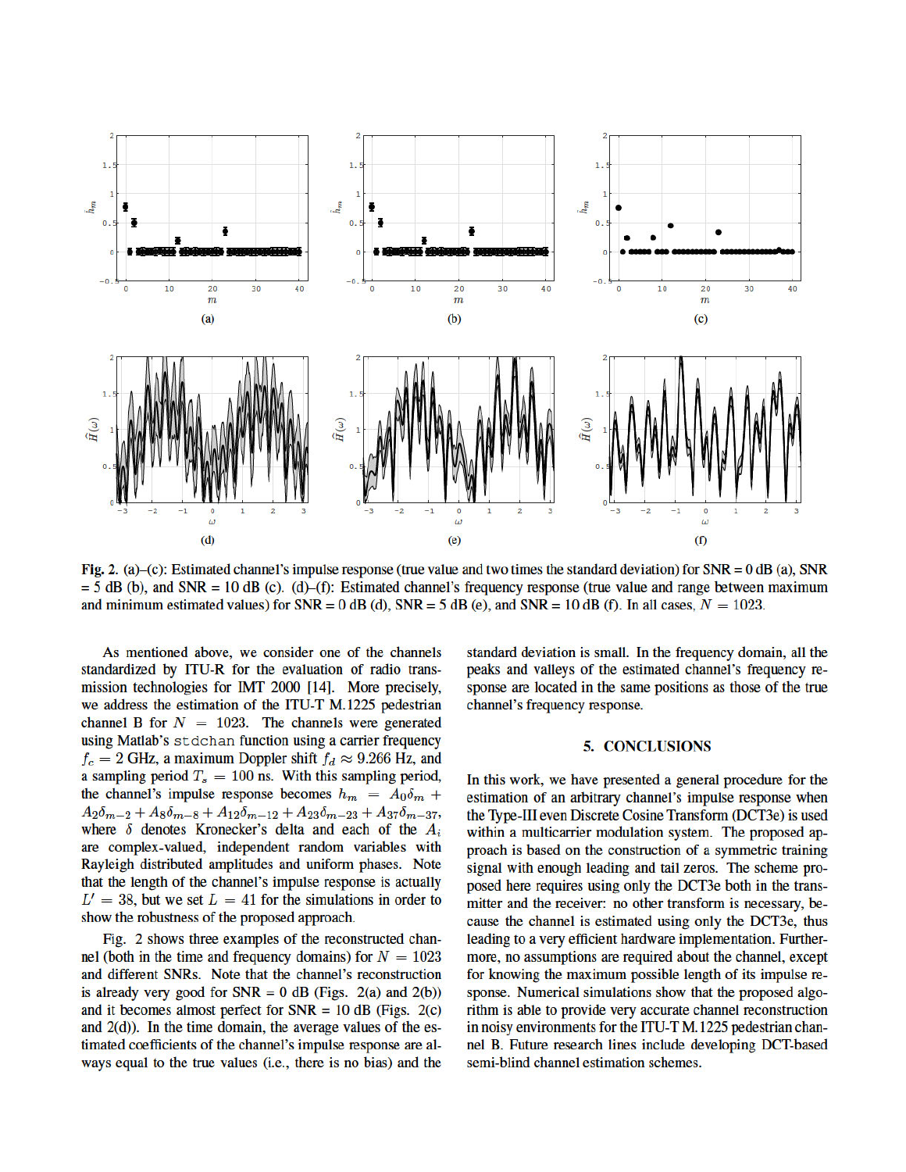

Fig. 2. (a)–(c): Estimated channel's impulse response (true value and two times the standard deviation) for  $SNR = 0$  dB (a), SNR  $=$  5 dB (b), and SNR = 10 dB (c). (d)–(f): Estimated channel's frequency response (true value and range between maximum and minimum estimated values) for  $SNR = 0$  dB (d),  $SNR = 5$  dB (e), and  $SNR = 10$  dB (f). In all cases,  $N = 1023$ .

As mentioned above, we consider one of the channels standardized by ITU-R for the evaluation of radio transmission technologies for IMT 2000 [14]. More precisely, we address the estimation of the ITU-T M.1225 pedestrian channel B for  $N = 1023$ . The channels were generated using Matlab's stdchan function using a carrier frequency  $f_c = 2$  GHz, a maximum Doppler shift  $f_d \approx 9.266$  Hz, and a sampling period  $T_s = 100$  ns. With this sampling period, the channel's impulse response becomes  $h_m = A_0 \delta_m +$  $A_2\delta_{m-2} + A_8\delta_{m-8} + A_{12}\delta_{m-12} + A_{23}\delta_{m-23} + A_{37}\delta_{m-37}$ where  $\delta$  denotes Kronecker's delta and each of the  $A_i$ are complex-valued, independent random variables with Rayleigh distributed amplitudes and uniform phases. Note that the length of the channel's impulse response is actually  $L' = 38$ , but we set  $L = 41$  for the simulations in order to show the robustness of the proposed approach.

Fig. 2 shows three examples of the reconstructed channel (both in the time and frequency domains) for  $N = 1023$ and different SNRs. Note that the channel's reconstruction is already very good for  $SNR = 0$  dB (Figs. 2(a) and 2(b)) and it becomes almost perfect for  $SNR = 10$  dB (Figs. 2(c) and  $2(d)$ ). In the time domain, the average values of the estimated coefficients of the channel's impulse response are always equal to the true values (i.e., there is no bias) and the

standard deviation is small. In the frequency domain, all the peaks and valleys of the estimated channel's frequency response are located in the same positions as those of the true channel's frequency response.

#### **5. CONCLUSIONS**

In this work, we have presented a general procedure for the estimation of an arbitrary channel's impulse response when the Type-III even Discrete Cosine Transform (DCT3e) is used within a multicarrier modulation system. The proposed approach is based on the construction of a symmetric training signal with enough leading and tail zeros. The scheme proposed here requires using only the DCT3e both in the transmitter and the receiver: no other transform is necessary, because the channel is estimated using only the DCT3e, thus leading to a very efficient hardware implementation. Furthermore, no assumptions are required about the channel, except for knowing the maximum possible length of its impulse response. Numerical simulations show that the proposed algorithm is able to provide very accurate channel reconstruction in noisy environments for the ITU-T M.1225 pedestrian channel B. Future research lines include developing DCT-based semi-blind channel estimation schemes.